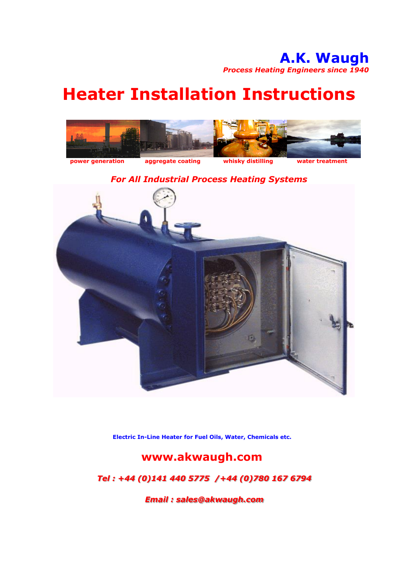# **Heater Installation Instructions**



*For All Industrial Process Heating Systems*



**Electric In-Line Heater for Fuel Oils, Water, Chemicals etc.**

### **www.akwaugh.com**

### *Tel : +44 (0)141 440 5775 /+44 (0)780 167 6794*

*Email : sales@akwaugh.com*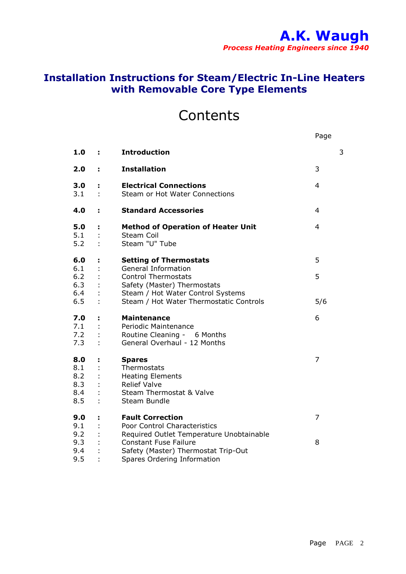### **Installation Instructions for Steam/Electric In-Line Heaters with Removable Core Type Elements**

## **Contents**

|                                        |         |                                                                                                                            | Page           |
|----------------------------------------|---------|----------------------------------------------------------------------------------------------------------------------------|----------------|
| 1.0                                    | ÷.      | <b>Introduction</b>                                                                                                        | 3              |
| 2.0                                    | ÷.      | <b>Installation</b>                                                                                                        | 3              |
| 3.0<br>3.1                             | ÷<br>t, | <b>Electrical Connections</b><br>Steam or Hot Water Connections                                                            | $\overline{4}$ |
| 4.0                                    | ÷.      | <b>Standard Accessories</b>                                                                                                | 4              |
| 5.0<br>5.1<br>5.2                      | ÷.      | <b>Method of Operation of Heater Unit</b><br>Steam Coil<br>Steam "U" Tube                                                  | 4              |
| 6.0                                    | ÷       | <b>Setting of Thermostats</b>                                                                                              | 5              |
| 6.1<br>$6.2$<br>6.3<br>6.4             |         | General Information<br><b>Control Thermostats</b><br>Safety (Master) Thermostats<br>Steam / Hot Water Control Systems      | 5              |
| 6.5                                    |         | Steam / Hot Water Thermostatic Controls                                                                                    | 5/6            |
| 7.0<br>7.1<br>7.2<br>7.3               | ÷       | <b>Maintenance</b><br>Periodic Maintenance<br>Routine Cleaning - 6 Months<br>General Overhaul - 12 Months                  | 6              |
| 8.0<br>8.1<br>8.2<br>8.3<br>8.4<br>8.5 | ÷       | <b>Spares</b><br>Thermostats<br><b>Heating Elements</b><br><b>Relief Valve</b><br>Steam Thermostat & Valve<br>Steam Bundle | 7              |
| 9.0                                    | ÷,      | <b>Fault Correction</b>                                                                                                    | 7              |
| 9.1<br>9.2                             |         | Poor Control Characteristics<br>Required Outlet Temperature Unobtainable                                                   |                |
| 9.3<br>9.4                             |         | <b>Constant Fuse Failure</b><br>Safety (Master) Thermostat Trip-Out                                                        | 8              |
| 9.5                                    |         | Spares Ordering Information                                                                                                |                |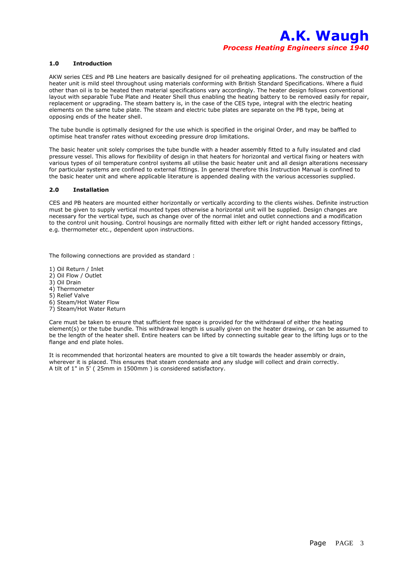#### **1.0 Introduction**

AKW series CES and PB Line heaters are basically designed for oil preheating applications. The construction of the heater unit is mild steel throughout using materials conforming with British Standard Specifications. Where a fluid other than oil is to be heated then material specifications vary accordingly. The heater design follows conventional layout with separable Tube Plate and Heater Shell thus enabling the heating battery to be removed easily for repair, replacement or upgrading. The steam battery is, in the case of the CES type, integral with the electric heating elements on the same tube plate. The steam and electric tube plates are separate on the PB type, being at opposing ends of the heater shell.

The tube bundle is optimally designed for the use which is specified in the original Order, and may be baffled to optimise heat transfer rates without exceeding pressure drop limitations.

The basic heater unit solely comprises the tube bundle with a header assembly fitted to a fully insulated and clad pressure vessel. This allows for flexibility of design in that heaters for horizontal and vertical fixing or heaters with various types of oil temperature control systems all utilise the basic heater unit and all design alterations necessary for particular systems are confined to external fittings. In general therefore this Instruction Manual is confined to the basic heater unit and where applicable literature is appended dealing with the various accessories supplied.

#### **2.0 Installation**

CES and PB heaters are mounted either horizontally or vertically according to the clients wishes. Definite instruction must be given to supply vertical mounted types otherwise a horizontal unit will be supplied. Design changes are necessary for the vertical type, such as change over of the normal inlet and outlet connections and a modification to the control unit housing. Control housings are normally fitted with either left or right handed accessory fittings, e.g. thermometer etc., dependent upon instructions.

The following connections are provided as standard :

1) Oil Return / Inlet

- 2) Oil Flow / Outlet
- 3) Oil Drain
- 4) Thermometer
- 5) Relief Valve
- 6) Steam/Hot Water Flow
- 7) Steam/Hot Water Return

Care must be taken to ensure that sufficient free space is provided for the withdrawal of either the heating element(s) or the tube bundle. This withdrawal length is usually given on the heater drawing, or can be assumed to be the length of the heater shell. Entire heaters can be lifted by connecting suitable gear to the lifting lugs or to the flange and end plate holes.

It is recommended that horizontal heaters are mounted to give a tilt towards the header assembly or drain, wherever it is placed. This ensures that steam condensate and any sludge will collect and drain correctly. A tilt of 1" in 5' ( 25mm in 1500mm ) is considered satisfactory.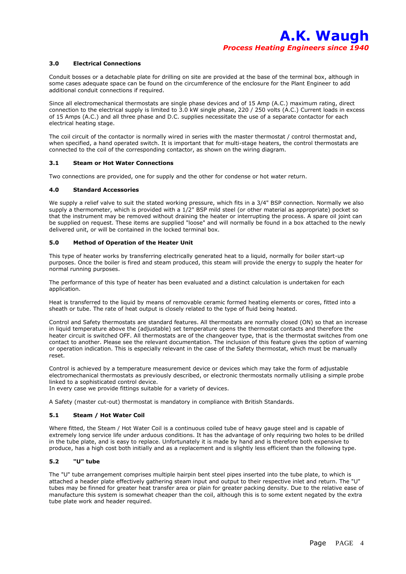#### **3.0 Electrical Connections**

Conduit bosses or a detachable plate for drilling on site are provided at the base of the terminal box, although in some cases adequate space can be found on the circumference of the enclosure for the Plant Engineer to add additional conduit connections if required.

Since all electromechanical thermostats are single phase devices and of 15 Amp (A.C.) maximum rating, direct connection to the electrical supply is limited to 3.0 kW single phase, 220 / 250 volts (A.C.) Current loads in excess of 15 Amps (A.C.) and all three phase and D.C. supplies necessitate the use of a separate contactor for each electrical heating stage.

The coil circuit of the contactor is normally wired in series with the master thermostat / control thermostat and, when specified, a hand operated switch. It is important that for multi-stage heaters, the control thermostats are connected to the coil of the corresponding contactor, as shown on the wiring diagram.

#### **3.1 Steam or Hot Water Connections**

Two connections are provided, one for supply and the other for condense or hot water return.

#### **4.0 Standard Accessories**

We supply a relief valve to suit the stated working pressure, which fits in a 3/4" BSP connection. Normally we also supply a thermometer, which is provided with a  $1/2$ " BSP mild steel (or other material as appropriate) pocket so that the instrument may be removed without draining the heater or interrupting the process. A spare oil joint can be supplied on request. These items are supplied "loose" and will normally be found in a box attached to the newly delivered unit, or will be contained in the locked terminal box.

#### **5.0 Method of Operation of the Heater Unit**

This type of heater works by transferring electrically generated heat to a liquid, normally for boiler start-up purposes. Once the boiler is fired and steam produced, this steam will provide the energy to supply the heater for normal running purposes.

The performance of this type of heater has been evaluated and a distinct calculation is undertaken for each application.

Heat is transferred to the liquid by means of removable ceramic formed heating elements or cores, fitted into a sheath or tube. The rate of heat output is closely related to the type of fluid being heated.

Control and Safety thermostats are standard features. All thermostats are normally closed (ON) so that an increase in liquid temperature above the (adjustable) set temperature opens the thermostat contacts and therefore the heater circuit is switched OFF. All thermostats are of the changeover type, that is the thermostat switches from one contact to another. Please see the relevant documentation. The inclusion of this feature gives the option of warning or operation indication. This is especially relevant in the case of the Safety thermostat, which must be manually reset.

Control is achieved by a temperature measurement device or devices which may take the form of adjustable electromechanical thermostats as previously described, or electronic thermostats normally utilising a simple probe linked to a sophisticated control device.

In every case we provide fittings suitable for a variety of devices.

A Safety (master cut-out) thermostat is mandatory in compliance with British Standards.

#### **5.1 Steam / Hot Water Coil**

Where fitted, the Steam / Hot Water Coil is a continuous coiled tube of heavy gauge steel and is capable of extremely long service life under arduous conditions. It has the advantage of only requiring two holes to be drilled in the tube plate, and is easy to replace. Unfortunately it is made by hand and is therefore both expensive to produce, has a high cost both initially and as a replacement and is slightly less efficient than the following type.

#### **5.2 "U" tube**

The "U" tube arrangement comprises multiple hairpin bent steel pipes inserted into the tube plate, to which is attached a header plate effectively gathering steam input and output to their respective inlet and return. The "U" tubes may be finned for greater heat transfer area or plain for greater packing density. Due to the relative ease of manufacture this system is somewhat cheaper than the coil, although this is to some extent negated by the extra tube plate work and header required.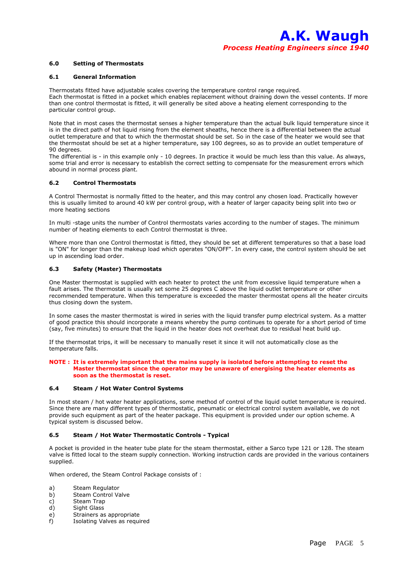#### **6.0 Setting of Thermostats**

#### **6.1 General Information**

Thermostats fitted have adjustable scales covering the temperature control range required. Each thermostat is fitted in a pocket which enables replacement without draining down the vessel contents. If more than one control thermostat is fitted, it will generally be sited above a heating element corresponding to the particular control group.

Note that in most cases the thermostat senses a higher temperature than the actual bulk liquid temperature since it is in the direct path of hot liquid rising from the element sheaths, hence there is a differential between the actual outlet temperature and that to which the thermostat should be set. So in the case of the heater we would see that the thermostat should be set at a higher temperature, say 100 degrees, so as to provide an outlet temperature of 90 degrees.

The differential is - in this example only - 10 degrees. In practice it would be much less than this value. As always, some trial and error is necessary to establish the correct setting to compensate for the measurement errors which abound in normal process plant.

#### **6.2 Control Thermostats**

A Control Thermostat is normally fitted to the heater, and this may control any chosen load. Practically however this is usually limited to around 40 kW per control group, with a heater of larger capacity being split into two or more heating sections

In multi -stage units the number of Control thermostats varies according to the number of stages. The minimum number of heating elements to each Control thermostat is three.

Where more than one Control thermostat is fitted, they should be set at different temperatures so that a base load is "ON" for longer than the makeup load which operates "ON/OFF". In every case, the control system should be set up in ascending load order.

#### **6.3 Safety (Master) Thermostats**

One Master thermostat is supplied with each heater to protect the unit from excessive liquid temperature when a fault arises. The thermostat is usually set some 25 degrees C above the liquid outlet temperature or other recommended temperature. When this temperature is exceeded the master thermostat opens all the heater circuits thus closing down the system.

In some cases the master thermostat is wired in series with the liquid transfer pump electrical system. As a matter of good practice this should incorporate a means whereby the pump continues to operate for a short period of time (say, five minutes) to ensure that the liquid in the heater does not overheat due to residual heat build up.

If the thermostat trips, it will be necessary to manually reset it since it will not automatically close as the temperature falls.

#### **NOTE : It is extremely important that the mains supply is isolated before attempting to reset the Master thermostat since the operator may be unaware of energising the heater elements as soon as the thermostat is reset.**

#### **6.4 Steam / Hot Water Control Systems**

In most steam / hot water heater applications, some method of control of the liquid outlet temperature is required. Since there are many different types of thermostatic, pneumatic or electrical control system available, we do not provide such equipment as part of the heater package. This equipment is provided under our option scheme. A typical system is discussed below.

#### **6.5 Steam / Hot Water Thermostatic Controls - Typical**

A pocket is provided in the heater tube plate for the steam thermostat, either a Sarco type 121 or 128. The steam valve is fitted local to the steam supply connection. Working instruction cards are provided in the various containers supplied.

When ordered, the Steam Control Package consists of :

- a) Steam Regulator
- b) Steam Control Valve
- c) Steam Trap
- d) Sight Glass
- e) Strainers as appropriate
- f) Isolating Valves as required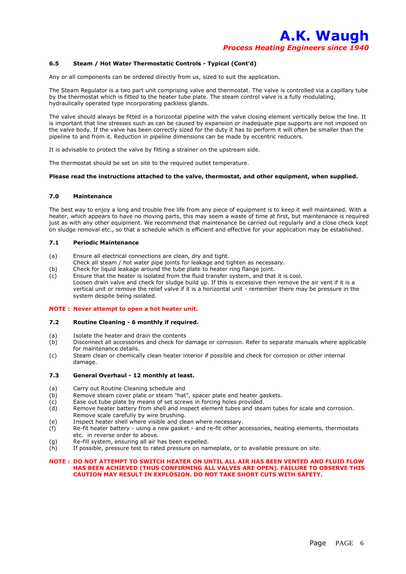#### **6.5 Steam / Hot Water Thermostatic Controls - Typical (Cont'd)**

Any or all components can be ordered directly from us, sized to suit the application.

The Steam Regulator is a two part unit comprising valve and thermostat. The valve is controlled via a capillary tube by the thermostat which is fitted to the heater tube plate. The steam control valve is a fully modulating, hydraulically operated type incorporating packless glands.

The valve should always be fitted in a horizontal pipeline with the valve closing element vertically below the line. It is important that line stresses such as can be caused by expansion or inadequate pipe supports are not imposed on the valve body. If the valve has been correctly sized for the duty it has to perform it will often be smaller than the pipeline to and from it. Reduction in pipeline dimensions can be made by eccentric reducers.

It is advisable to protect the valve by fitting a strainer on the upstream side.

The thermostat should be set on site to the required outlet temperature.

#### **Please read the instructions attached to the valve, thermostat, and other equipment, when supplied.**

#### **7.0 Maintenance**

The best way to enjoy a long and trouble free life from any piece of equipment is to keep it well maintained. With a heater, which appears to have no moving parts, this may seem a waste of time at first, but maintenance is required just as with any other equipment. We recommend that maintenance be carried out regularly and a close check kept on sludge removal etc., so that a schedule which is efficient and effective for your application may be established.

#### **7.1 Periodic Maintenance**

- (a) Ensure all electrical connections are clean, dry and tight.
- Check all steam / hot water pipe joints for leakage and tighten as necessary.
- (b) Check for liquid leakage around the tube plate to heater ring flange joint.
- (c) Ensure that the heater is isolated from the fluid transfer system, and that it is cool. Loosen drain valve and check for sludge build up. If this is excessive then remove the air vent if it is a vertical unit or remove the relief valve if it is a horizontal unit - remember there may be pressure in the system despite being isolated.

#### **NOTE : Never attempt to open a hot heater unit.**

#### **7.2 Routine Cleaning - 6 monthly if required.**

- (a) Isolate the heater and drain the contents
- (b) Disconnect all accessories and check for damage or corrosion. Refer to separate manuals where applicable for maintenance details.
- (c) Steam clean or chemically clean heater interior if possible and check for corrosion or other internal damage.

#### **7.3 General Overhaul - 12 monthly at least.**

- (a) Carry out Routine Cleaning schedule and
- (b) Remove steam cover plate or steam "hat", spacer plate and heater gaskets.
- (c) Ease out tube plate by means of set screws in forcing holes provided.<br>(d) Remove heater battery from shell and inspect element tubes and stea
- Remove heater battery from shell and inspect element tubes and steam tubes for scale and corrosion. Remove scale carefully by wire brushing.
- (e) Inspect heater shell where visible and clean where necessary.
- (f) Re-fit heater battery using a new gasket and re-fit other accessories, heating elements, thermostats etc. in reverse order to above.
- (g) Re-fill system, ensuring all air has been expelled.
- (h) If possible, pressure test to rated pressure on nameplate, or to available pressure on site.

#### **NOTE : DO NOT ATTEMPT TO SWITCH HEATER ON UNTIL ALL AIR HAS BEEN VENTED AND FLUID FLOW HAS BEEN ACHIEVED (THUS CONFIRMING ALL VALVES ARE OPEN). FAILURE TO OBSERVE THIS CAUTION MAY RESULT IN EXPLOSION. DO NOT TAKE SHORT CUTS WITH SAFETY.**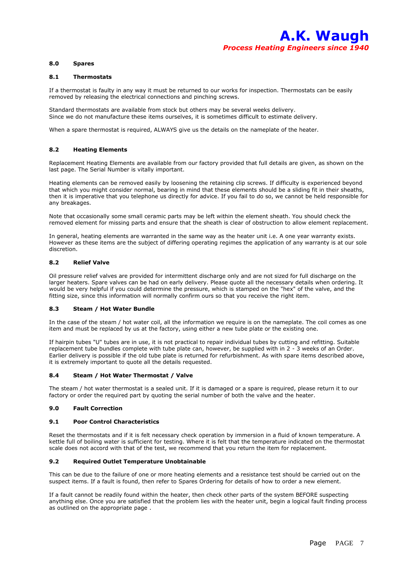#### **8.0 Spares**

#### **8.1 Thermostats**

If a thermostat is faulty in any way it must be returned to our works for inspection. Thermostats can be easily removed by releasing the electrical connections and pinching screws.

Standard thermostats are available from stock but others may be several weeks delivery. Since we do not manufacture these items ourselves, it is sometimes difficult to estimate delivery.

When a spare thermostat is required, ALWAYS give us the details on the nameplate of the heater.

#### **8.2 Heating Elements**

Replacement Heating Elements are available from our factory provided that full details are given, as shown on the last page. The Serial Number is vitally important.

Heating elements can be removed easily by loosening the retaining clip screws. If difficulty is experienced beyond that which you might consider normal, bearing in mind that these elements should be a sliding fit in their sheaths, then it is imperative that you telephone us directly for advice. If you fail to do so, we cannot be held responsible for any breakages.

Note that occasionally some small ceramic parts may be left within the element sheath. You should check the removed element for missing parts and ensure that the sheath is clear of obstruction to allow element replacement.

In general, heating elements are warranted in the same way as the heater unit i.e. A one year warranty exists. However as these items are the subject of differing operating regimes the application of any warranty is at our sole discretion.

#### **8.2 Relief Valve**

Oil pressure relief valves are provided for intermittent discharge only and are not sized for full discharge on the larger heaters. Spare valves can be had on early delivery. Please quote all the necessary details when ordering. It would be very helpful if you could determine the pressure, which is stamped on the "hex" of the valve, and the fitting size, since this information will normally confirm ours so that you receive the right item.

#### **8.3 Steam / Hot Water Bundle**

In the case of the steam / hot water coil, all the information we require is on the nameplate. The coil comes as one item and must be replaced by us at the factory, using either a new tube plate or the existing one.

If hairpin tubes "U" tubes are in use, it is not practical to repair individual tubes by cutting and refitting. Suitable replacement tube bundles complete with tube plate can, however, be supplied with in 2 - 3 weeks of an Order. Earlier delivery is possible if the old tube plate is returned for refurbishment. As with spare items described above, it is extremely important to quote all the details requested.

#### **8.4 Steam / Hot Water Thermostat / Valve**

The steam / hot water thermostat is a sealed unit. If it is damaged or a spare is required, please return it to our factory or order the required part by quoting the serial number of both the valve and the heater.

#### **9.0 Fault Correction**

#### **9.1 Poor Control Characteristics**

Reset the thermostats and if it is felt necessary check operation by immersion in a fluid of known temperature. A kettle full of boiling water is sufficient for testing. Where it is felt that the temperature indicated on the thermostat scale does not accord with that of the test, we recommend that you return the item for replacement.

#### **9.2 Required Outlet Temperature Unobtainable**

This can be due to the failure of one or more heating elements and a resistance test should be carried out on the suspect items. If a fault is found, then refer to Spares Ordering for details of how to order a new element.

If a fault cannot be readily found within the heater, then check other parts of the system BEFORE suspecting anything else. Once you are satisfied that the problem lies with the heater unit, begin a logical fault finding process as outlined on the appropriate page .